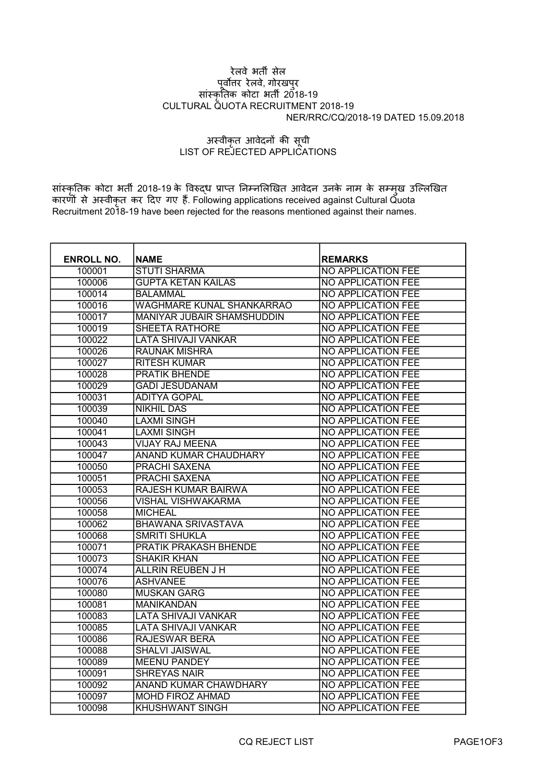## रेलवे भतȸ सेल पूर्वोत्तर रेलवे, गोरखपुर सांस्कृतिक कोटा भती 2018-19 CULTURAL QUOTA RECRUITMENT 2018-19 NER/RRC/CQ/2018-19 DATED 15.09.2018

## अस्वीकृत आवेदनों की सूची LIST OF REJECTED APPLICATIONS

सांस्कृतिक कोटा भर्ती 2018-19 के विरुद्ध प्राप्त निम्नलिखित आवेदन उनके नाम के सम्मुख उल्लिखित कारणों से अस्वीकृत कर दिए गए हैं. Following applications received against Cultural Quota Recruitment 2018-19 have been rejected for the reasons mentioned against their names.

| <b>ENROLL NO.</b> | <b>NAME</b>                       | <b>REMARKS</b>            |
|-------------------|-----------------------------------|---------------------------|
| 100001            | <b>STUTI SHARMA</b>               | <b>NO APPLICATION FEE</b> |
| 100006            | <b>GUPTA KETAN KAILAS</b>         | <b>NO APPLICATION FEE</b> |
| 100014            | <b>BALAMMAL</b>                   | <b>NO APPLICATION FEE</b> |
| 100016            | <b>WAGHMARE KUNAL SHANKARRAO</b>  | <b>NO APPLICATION FEE</b> |
| 100017            | <b>MANIYAR JUBAIR SHAMSHUDDIN</b> | <b>NO APPLICATION FEE</b> |
| 100019            | <b>SHEETA RATHORE</b>             | <b>NO APPLICATION FEE</b> |
| 100022            | <b>LATA SHIVAJI VANKAR</b>        | <b>NO APPLICATION FEE</b> |
| 100026            | <b>RAUNAK MISHRA</b>              | <b>NO APPLICATION FEE</b> |
| 100027            | <b>RITESH KUMAR</b>               | <b>NO APPLICATION FEE</b> |
| 100028            | <b>PRATIK BHENDE</b>              | <b>NO APPLICATION FEE</b> |
| 100029            | <b>GADI JESUDANAM</b>             | <b>NO APPLICATION FEE</b> |
| 100031            | <b>ADITYA GOPAL</b>               | <b>NO APPLICATION FEE</b> |
| 100039            | <b>NIKHIL DAS</b>                 | <b>NO APPLICATION FEE</b> |
| 100040            | <b>LAXMI SINGH</b>                | <b>NO APPLICATION FEE</b> |
| 100041            | <b>LAXMI SINGH</b>                | <b>NO APPLICATION FEE</b> |
| 100043            | <b>VIJAY RAJ MEENA</b>            | <b>NO APPLICATION FEE</b> |
| 100047            | <b>ANAND KUMAR CHAUDHARY</b>      | <b>NO APPLICATION FEE</b> |
| 100050            | <b>PRACHI SAXENA</b>              | <b>NO APPLICATION FEE</b> |
| 100051            | <b>PRACHI SAXENA</b>              | <b>NO APPLICATION FEE</b> |
| 100053            | <b>RAJESH KUMAR BAIRWA</b>        | <b>NO APPLICATION FEE</b> |
| 100056            | <b>VISHAL VISHWAKARMA</b>         | <b>NO APPLICATION FEE</b> |
| 100058            | <b>MICHEAL</b>                    | <b>NO APPLICATION FEE</b> |
| 100062            | <b>BHAWANA SRIVASTAVA</b>         | <b>NO APPLICATION FEE</b> |
| 100068            | <b>SMRITI SHUKLA</b>              | <b>NO APPLICATION FEE</b> |
| 100071            | <b>PRATIK PRAKASH BHENDE</b>      | <b>NO APPLICATION FEE</b> |
| 100073            | <b>SHAKIR KHAN</b>                | <b>NO APPLICATION FEE</b> |
| 100074            | <b>ALLRIN REUBEN J H</b>          | <b>NO APPLICATION FEE</b> |
| 100076            | <b>ASHVANEE</b>                   | <b>NO APPLICATION FEE</b> |
| 100080            | <b>MUSKAN GARG</b>                | <b>NO APPLICATION FEE</b> |
| 100081            | <b>MANIKANDAN</b>                 | <b>NO APPLICATION FEE</b> |
| 100083            | <b>LATA SHIVAJI VANKAR</b>        | <b>NO APPLICATION FEE</b> |
| 100085            | <b>LATA SHIVAJI VANKAR</b>        | <b>NO APPLICATION FEE</b> |
| 100086            | <b>RAJESWAR BERA</b>              | <b>NO APPLICATION FEE</b> |
| 100088            | <b>SHALVI JAISWAL</b>             | <b>NO APPLICATION FEE</b> |
| 100089            | <b>MEENU PANDEY</b>               | <b>NO APPLICATION FEE</b> |
| 100091            | <b>SHREYAS NAIR</b>               | <b>NO APPLICATION FEE</b> |
| 100092            | <b>ANAND KUMAR CHAWDHARY</b>      | <b>NO APPLICATION FEE</b> |
| 100097            | <b>MOHD FIROZ AHMAD</b>           | <b>NO APPLICATION FEE</b> |
| 100098            | <b>KHUSHWANT SINGH</b>            | <b>NO APPLICATION FEE</b> |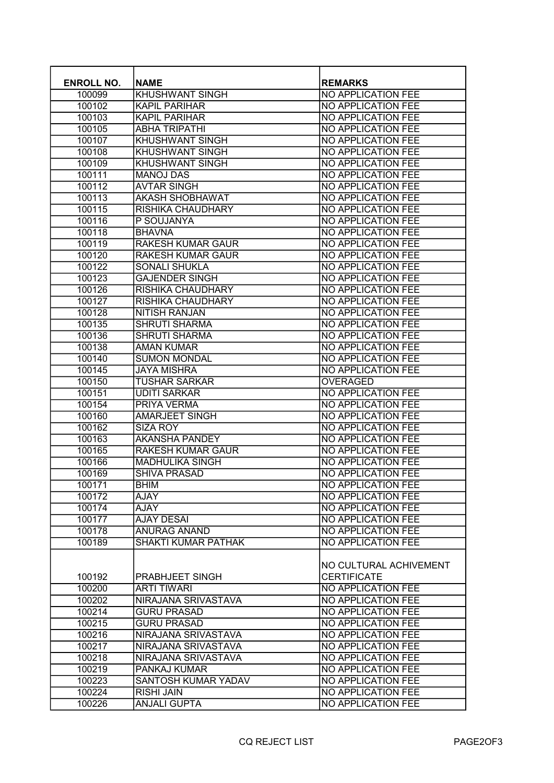| <b>ENROLL NO.</b> | <b>NAME</b>                | <b>REMARKS</b>            |
|-------------------|----------------------------|---------------------------|
| 100099            | <b>KHUSHWANT SINGH</b>     | <b>NO APPLICATION FEE</b> |
| 100102            | <b>KAPIL PARIHAR</b>       | <b>NO APPLICATION FEE</b> |
| 100103            | <b>KAPIL PARIHAR</b>       | <b>NO APPLICATION FEE</b> |
| 100105            | <b>ABHA TRIPATHI</b>       | <b>NO APPLICATION FEE</b> |
|                   |                            |                           |
| 100107            | <b>KHUSHWANT SINGH</b>     | <b>NO APPLICATION FEE</b> |
| 100108            | <b>KHUSHWANT SINGH</b>     | <b>NO APPLICATION FEE</b> |
| 100109            | <b>KHUSHWANT SINGH</b>     | <b>NO APPLICATION FEE</b> |
| 100111            | <b>MANOJ DAS</b>           | <b>NO APPLICATION FEE</b> |
| 100112            | <b>AVTAR SINGH</b>         | <b>NO APPLICATION FEE</b> |
| 100113            | <b>AKASH SHOBHAWAT</b>     | <b>NO APPLICATION FEE</b> |
| 100115            | <b>RISHIKA CHAUDHARY</b>   | <b>NO APPLICATION FEE</b> |
| 100116            | P SOUJANYA                 | <b>NO APPLICATION FEE</b> |
| 100118            | <b>BHAVNA</b>              | <b>NO APPLICATION FEE</b> |
| 100119            | <b>RAKESH KUMAR GAUR</b>   | <b>NO APPLICATION FEE</b> |
| 100120            | <b>RAKESH KUMAR GAUR</b>   | <b>NO APPLICATION FEE</b> |
| 100122            | <b>SONALI SHUKLA</b>       | <b>NO APPLICATION FEE</b> |
| 100123            | <b>GAJENDER SINGH</b>      | <b>NO APPLICATION FEE</b> |
| 100126            | <b>RISHIKA CHAUDHARY</b>   | <b>NO APPLICATION FEE</b> |
| 100127            | RISHIKA CHAUDHARY          | <b>NO APPLICATION FEE</b> |
| 100128            | <b>NITISH RANJAN</b>       | <b>NO APPLICATION FEE</b> |
| 100135            | <b>SHRUTI SHARMA</b>       | <b>NO APPLICATION FEE</b> |
| 100136            | <b>SHRUTI SHARMA</b>       | <b>NO APPLICATION FEE</b> |
| 100138            | <b>AMAN KUMAR</b>          | NO APPLICATION FEE        |
| 100140            | <b>SUMON MONDAL</b>        | <b>NO APPLICATION FEE</b> |
| 100145            | <b>JAYA MISHRA</b>         | <b>NO APPLICATION FEE</b> |
| 100150            | <b>TUSHAR SARKAR</b>       | <b>OVERAGED</b>           |
| 100151            | <b>UDITI SARKAR</b>        | <b>NO APPLICATION FEE</b> |
| 100154            | <b>PRIYA VERMA</b>         | <b>NO APPLICATION FEE</b> |
| 100160            | <b>AMARJEET SINGH</b>      | <b>NO APPLICATION FEE</b> |
| 100162            | <b>SIZA ROY</b>            | <b>NO APPLICATION FEE</b> |
| 100163            | <b>AKANSHA PANDEY</b>      | <b>NO APPLICATION FEE</b> |
| 100165            | <b>RAKESH KUMAR GAUR</b>   | <b>NO APPLICATION FEE</b> |
| 100166            | <b>MADHULIKA SINGH</b>     | <b>NO APPLICATION FEE</b> |
| 100169            | <b>SHIVA PRASAD</b>        | <b>NO APPLICATION FEE</b> |
| 100171            | <b>BHIM</b>                | <b>NO APPLICATION FEE</b> |
|                   |                            |                           |
| 100172            | <b>AJAY</b>                | NO APPLICATION FEE        |
| 100174            | AJAY                       | <b>NO APPLICATION FEE</b> |
| 100177            | <b>AJAY DESAI</b>          | NO APPLICATION FEE        |
| 100178            | <b>ANURAG ANAND</b>        | NO APPLICATION FEE        |
| 100189            | <b>SHAKTI KUMAR PATHAK</b> | <b>NO APPLICATION FEE</b> |
|                   |                            |                           |
|                   |                            | NO CULTURAL ACHIVEMENT    |
| 100192            | PRABHJEET SINGH            | <b>CERTIFICATE</b>        |
| 100200            | <b>ARTI TIWARI</b>         | <b>NO APPLICATION FEE</b> |
| 100202            | NIRAJANA SRIVASTAVA        | <b>NO APPLICATION FEE</b> |
| 100214            | <b>GURU PRASAD</b>         | NO APPLICATION FEE        |
| 100215            | <b>GURU PRASAD</b>         | <b>NO APPLICATION FEE</b> |
| 100216            | NIRAJANA SRIVASTAVA        | <b>NO APPLICATION FEE</b> |
| 100217            | NIRAJANA SRIVASTAVA        | <b>NO APPLICATION FEE</b> |
| 100218            | NIRAJANA SRIVASTAVA        | <b>NO APPLICATION FEE</b> |
| 100219            | PANKAJ KUMAR               | <b>NO APPLICATION FEE</b> |
| 100223            | SANTOSH KUMAR YADAV        | <b>NO APPLICATION FEE</b> |
| 100224            | <b>RISHI JAIN</b>          | NO APPLICATION FEE        |
| 100226            | <b>ANJALI GUPTA</b>        | NO APPLICATION FEE        |